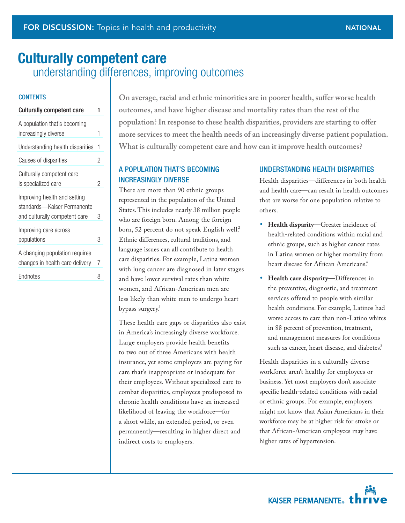# <span id="page-0-0"></span>**Culturally competent care**  understanding differences, improving outcomes

## **CONTENTS**

| <b>Culturally competent care</b>                                                             | 1 |
|----------------------------------------------------------------------------------------------|---|
| A population that's becoming<br>increasingly diverse                                         | 1 |
| Understanding health disparities                                                             | 1 |
| Causes of disparities                                                                        | 2 |
| Culturally competent care<br>is specialized care                                             | 2 |
| Improving health and setting<br>standards—Kaiser Permanente<br>and culturally competent care | 3 |
| Improving care across<br>populations                                                         | 3 |
| A changing population requires<br>changes in health care delivery                            | 7 |
| Endnotes                                                                                     | 8 |

**On average, racial and ethnic minorities are in poorer health, suffer worse health outcomes, and have higher disease and mortality rates than the rest of the population.1 In response to these health disparities, providers are starting to offer more services to meet the health needs of an increasingly diverse patient population. What is culturally competent care and how can it improve health outcomes?**

## A population that's becoming increasingly diverse

There are more than 90 ethnic groups represented in the population of the United States. This includes nearly 38 million people who are foreign born. Among the foreign born, 52 percent do not speak English well.<sup>2</sup> Ethnic differences, cultural traditions, and language issues can all contribute to health care disparities. For example, Latina women with lung cancer are diagnosed in later stages and have lower survival rates than white women, and African-American men are less likely than white men to undergo heart bypass surgery.<sup>3</sup>

These health care gaps or disparities also exist in America's increasingly diverse workforce. Large employers provide health benefits to two out of three Americans with health insurance, yet some employers are paying for care that's inappropriate or inadequate for their employees. Without specialized care to combat disparities, employees predisposed to chronic health conditions have an increased likelihood of leaving the workforce—for a short while, an extended period, or even permanently—resulting in higher direct and indirect costs to employers.

## Understanding health disparities

Health disparities—differences in both health and health care—can result in health outcomes that are worse for one population relative to others.

- **• Health disparity—**Greater incidence of health-related conditions within racial and ethnic groups, such as higher cancer rates in Latina women or higher mortality from heart disease for African Americans.<sup>4</sup>
- **• Health care disparity—**Differences in the preventive, diagnostic, and treatment services offered to people with similar health conditions. For example, Latinos had worse access to care than non-Latino whites in 88 percent of prevention, treatment, and management measures for conditions such as cancer, heart disease, and diabetes. $5$

Health disparities in a culturally diverse workforce aren't healthy for employees or business. Yet most employers don't associate specific health-related conditions with racial or ethnic groups. For example, employers might not know that Asian Americans in their workforce may be at higher risk for stroke or that African-American employees may have higher rates of hypertension.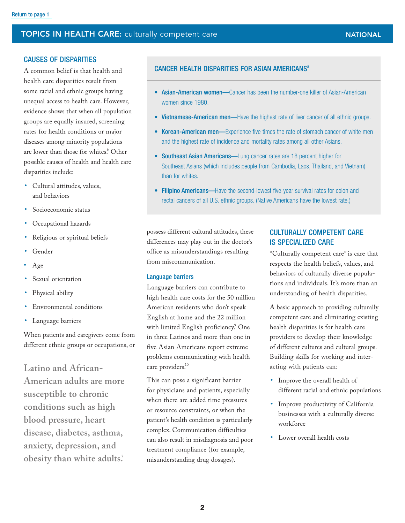#### <span id="page-1-0"></span>Causes of disparities

A common belief is that health and health care disparities result from some racial and ethnic groups having unequal access to health care. However, evidence shows that when all population groups are equally insured, screening rates for health conditions or major diseases among minority populations are lower than those for whites.<sup>6</sup> Other possible causes of health and health care disparities include:

- Cultural attitudes, values, and behaviors
- Socioeconomic status
- Occupational hazards
- Religious or spiritual beliefs
- Gender
- Age
- Sexual orientation
- Physical ability
- Environmental conditions
- Language barriers

When patients and caregivers come from different ethnic groups or occupations, or

**Latino and African-American adults are more susceptible to chronic conditions such as high blood pressure, heart disease, diabetes, asthma, anxiety, depression, and obesity than white adults.7**

## CANCER HEALTH DISPARITIES FOR ASIAN AMERICANS<sup>8</sup>

- Asian-American women—Cancer has been the number-one killer of Asian-American women since 1980.
- Vietnamese-American men—Have the highest rate of liver cancer of all ethnic groups.
- Korean-American men—Experience five times the rate of stomach cancer of white men and the highest rate of incidence and mortality rates among all other Asians.
- Southeast Asian Americans—Lung cancer rates are 18 percent higher for Southeast Asians (which includes people from Cambodia, Laos, Thailand, and Vietnam) than for whites.
- Filipino Americans—Have the second-lowest five-year survival rates for colon and rectal cancers of all U.S. ethnic groups. (Native Americans have the lowest rate.)

possess different cultural attitudes, these differences may play out in the doctor's office as misunderstandings resulting from miscommunication.

#### Language barriers

Language barriers can contribute to high health care costs for the 50 million American residents who don't speak English at home and the 22 million with limited English proficiency.<sup>9</sup> One in three Latinos and more than one in five Asian Americans report extreme problems communicating with health care providers.<sup>10</sup>

This can pose a significant barrier for physicians and patients, especially when there are added time pressures or resource constraints, or when the patient's health condition is particularly complex. Communication difficulties can also result in misdiagnosis and poor treatment compliance (for example, misunderstanding drug dosages).

## CUITURALLY COMPETENT CARE is specialized care

"Culturally competent care" is care that respects the health beliefs, values, and behaviors of culturally diverse populations and individuals. It's more than an understanding of health disparities.

A basic approach to providing culturally competent care and eliminating existing health disparities is for health care providers to develop their knowledge of different cultures and cultural groups. Building skills for working and interacting with patients can:

- Improve the overall health of different racial and ethnic populations
- Improve productivity of California businesses with a culturally diverse workforce
- Lower overall health costs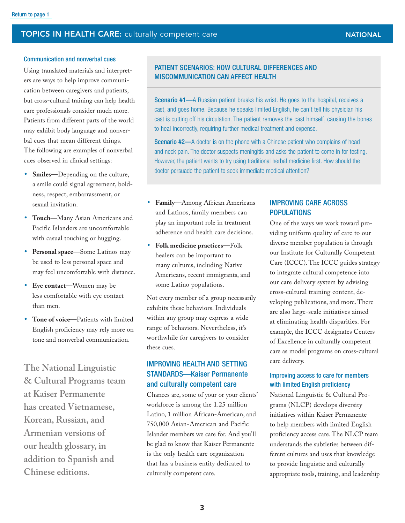#### <span id="page-2-0"></span>Communication and nonverbal cues

Using translated materials and interpreters are ways to help improve communication between caregivers and patients, but cross-cultural training can help health care professionals consider much more. Patients from different parts of the world may exhibit body language and nonverbal cues that mean different things. The following are examples of nonverbal cues observed in clinical settings:

- **• Smiles—**Depending on the culture, a smile could signal agreement, boldness, respect, embarrassment, or sexual invitation.
- **• Touch—**Many Asian Americans and Pacific Islanders are uncomfortable with casual touching or hugging.
- **• Personal space—**Some Latinos may be used to less personal space and may feel uncomfortable with distance.
- **• Eye contact—**Women may be less comfortable with eye contact than men.
- **• Tone of voice—**Patients with limited English proficiency may rely more on tone and nonverbal communication.

**The National Linguistic & Cultural Programs team at Kaiser Permanente has created Vietnamese, Korean, Russian, and Armenian versions of our health glossary, in addition to Spanish and Chinese editions.**

## Patient scenarios: How cultural differences and miscommunication can affect health

Scenario #1—A Russian patient breaks his wrist. He goes to the hospital, receives a cast, and goes home. Because he speaks limited English, he can't tell his physician his cast is cutting off his circulation. The patient removes the cast himself, causing the bones to heal incorrectly, requiring further medical treatment and expense.

Scenario #2—A doctor is on the phone with a Chinese patient who complains of head and neck pain. The doctor suspects meningitis and asks the patient to come in for testing. However, the patient wants to try using traditional herbal medicine first. How should the doctor persuade the patient to seek immediate medical attention?

- **• Family—**Among African Americans and Latinos, family members can play an important role in treatment adherence and health care decisions.
- **• Folk medicine practices—**Folk healers can be important to many cultures, including Native Americans, recent immigrants, and some Latino populations.

Not every member of a group necessarily exhibits these behaviors. Individuals within any group may express a wide range of behaviors. Nevertheless, it's worthwhile for caregivers to consider these cues.

## Improving health and setting standards—Kaiser Permanente and culturally competent care

Chances are, some of your or your clients' workforce is among the 1.25 million Latino, 1 million African-American, and 750,000 Asian-American and Pacific Islander members we care for. And you'll be glad to know that Kaiser Permanente is the only health care organization that has a business entity dedicated to culturally competent care.

## Improving care across **POPULATIONS**

One of the ways we work toward providing uniform quality of care to our diverse member population is through our Institute for Culturally Competent Care (ICCC). The ICCC guides strategy to integrate cultural competence into our care delivery system by advising cross-cultural training content, developing publications, and more. There are also large-scale initiatives aimed at eliminating health disparities. For example, the ICCC designates Centers of Excellence in culturally competent care as model programs on cross-cultural care delivery.

#### Improving access to care for members with limited English proficiency

National Linguistic & Cultural Programs (NLCP) develops diversity initiatives within Kaiser Permanente to help members with limited English proficiency access care. The NLCP team understands the subtleties between different cultures and uses that knowledge to provide linguistic and culturally appropriate tools, training, and leadership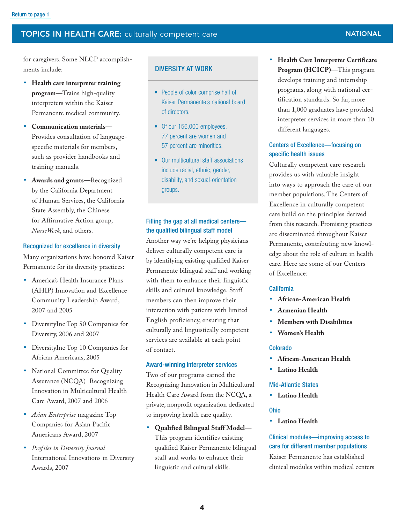for caregivers. Some NLCP accomplishments include:

- **• Health care interpreter training program—**Trains high-quality interpreters within the Kaiser Permanente medical community.
- **• Communication materials—** Provides consultation of languagespecific materials for members, such as provider handbooks and training manuals.
- **• Awards and grants—**Recognized by the California Department of Human Services, the California State Assembly, the Chinese for Affirmative Action group, *NurseWeek*, and others.

#### Recognized for excellence in diversity

Many organizations have honored Kaiser Permanente for its diversity practices:

- **•** America's Health Insurance Plans (AHIP) Innovation and Excellence Community Leadership Award, 2007 and 2005
- **•** DiversityInc Top 50 Companies for Diversity, 2006 and 2007
- **•** DiversityInc Top 10 Companies for African Americans, 2005
- **•** National Committee for Quality Assurance (NCQA) Recognizing Innovation in Multicultural Health Care Award, 2007 and 2006
- **•** *Asian Enterprise* magazine Top Companies for Asian Pacific Americans Award, 2007
- **•** *Profiles in Diversity Journal*  International Innovations in Diversity Awards, 2007

### Diversity at work

- People of color comprise half of Kaiser Permanente's national board of directors.
- Of our 156,000 employees, 77 percent are women and 57 percent are minorities.
- Our multicultural staff associations include racial, ethnic, gender, disability, and sexual-orientation groups.

## Filling the gap at all medical centers the qualified bilingual staff model

Another way we're helping physicians deliver culturally competent care is by identifying existing qualified Kaiser Permanente bilingual staff and working with them to enhance their linguistic skills and cultural knowledge. Staff members can then improve their interaction with patients with limited English proficiency, ensuring that culturally and linguistically competent services are available at each point of contact.

#### Award-winning interpreter services

Two of our programs earned the Recognizing Innovation in Multicultural Health Care Award from the NCQA, a private, nonprofit organization dedicated to improving health care quality.

**• Qualified Bilingual Staff Model—** This program identifies existing qualified Kaiser Permanente bilingual staff and works to enhance their linguistic and cultural skills.

**• Health Care Interpreter Certificate Program (HCICP)—**This program develops training and internship programs, along with national certification standards. So far, more than 1,000 graduates have provided interpreter services in more than 10 different languages.

### Centers of Excellence—focusing on specific health issues

Culturally competent care research provides us with valuable insight into ways to approach the care of our member populations. The Centers of Excellence in culturally competent care build on the principles derived from this research. Promising practices are disseminated throughout Kaiser Permanente, contributing new knowledge about the role of culture in health care. Here are some of our Centers of Excellence:

#### California

- **• African-American Health**
- **• Armenian Health**
- **• Members with Disabilities**
- **• Women's Health**

#### Colorado

- **• African-American Health**
- **• Latino Health**

#### Mid-Atlantic States

**• Latino Health**

#### Ohio

**• Latino Health**

### Clinical modules—improving access to care for different member populations

Kaiser Permanente has established clinical modules within medical centers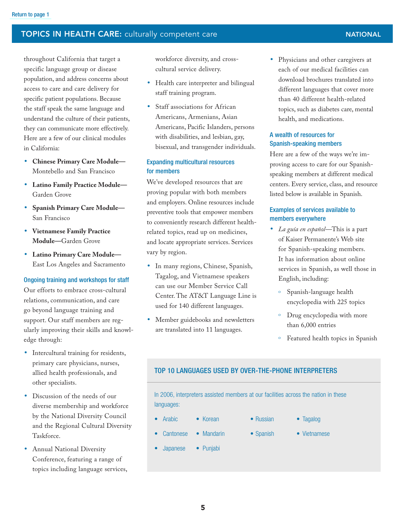throughout California that target a specific language group or disease population, and address concerns about access to care and care delivery for specific patient populations. Because the staff speak the same language and understand the culture of their patients, they can communicate more effectively. Here are a few of our clinical modules in California:

- **• Chinese Primary Care Module—** Montebello and San Francisco
- **• Latino Family Practice Module—** Garden Grove
- **• Spanish Primary Care Module—** San Francisco
- **• Vietnamese Family Practice Module—**Garden Grove
- **• Latino Primary Care Module—** East Los Angeles and Sacramento

#### Ongoing training and workshops for staff

Our efforts to embrace cross-cultural relations, communication, and care go beyond language training and support. Our staff members are regularly improving their skills and knowledge through:

- **•** Intercultural training for residents, primary care physicians, nurses, allied health professionals, and other specialists.
- **•** Discussion of the needs of our diverse membership and workforce by the National Diversity Council and the Regional Cultural Diversity Taskforce.
- **•** Annual National Diversity Conference, featuring a range of topics including language services,

workforce diversity, and crosscultural service delivery.

- **•** Health care interpreter and bilingual staff training program.
- **•** Staff associations for African Americans, Armenians, Asian Americans, Pacific Islanders, persons with disabilities, and lesbian, gay, bisexual, and transgender individuals.

### Expanding multicultural resources for members

We've developed resources that are proving popular with both members and employers. Online resources include preventive tools that empower members to conveniently research different healthrelated topics, read up on medicines, and locate appropriate services. Services vary by region.

- **•** In many regions, Chinese, Spanish, Tagalog, and Vietnamese speakers can use our Member Service Call Center. The AT&T Language Line is used for 140 different languages.
- **•** Member guidebooks and newsletters are translated into 11 languages.

**•** Physicians and other caregivers at each of our medical facilities can download brochures translated into different languages that cover more than 40 different health-related topics, such as diabetes care, mental health, and medications.

## A wealth of resources for Spanish-speaking members

Here are a few of the ways we're improving access to care for our Spanishspeaking members at different medical centers. Every service, class, and resource listed below is available in Spanish.

### Examples of services available to members everywhere

- **•** *La guía en español—*This is a part of Kaiser Permanente's Web site for Spanish-speaking members. It has information about online services in Spanish, as well those in English, including:
	- <sup>o</sup> Spanish-language health encyclopedia with 225 topics
	- <sup>o</sup> Drug encyclopedia with more than 6,000 entries
	- <sup>o</sup> Featured health topics in Spanish

### Top 10 languages used by over-the-phone interpreters

In 2006, interpreters assisted members at our facilities across the nation in these languages:

- Arabic Korean Russian Tagalog
	-
	- Cantonese Mandarin Spanish Vietnamese
- Japanese Punjabi
	- 5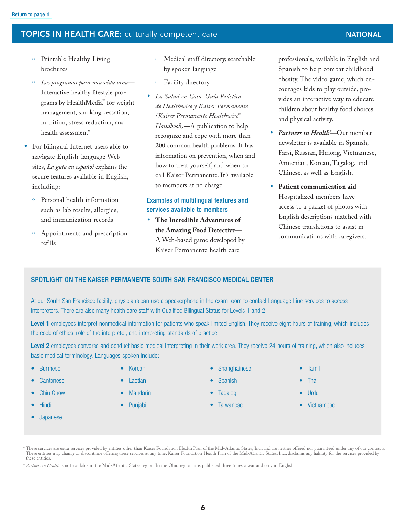- Printable Healthy Living brochures
- Los programas para una vida sana-Interactive healthy lifestyle programs by HealthMedia® for weight management, smoking cessation, nutrition, stress reduction, and health assessment\*
- **•** For bilingual Internet users able to navigate English-language Web sites, *La guía en español* explains the secure features available in English, including:
	- <sup>o</sup> Personal health information such as lab results, allergies, and immunization records
	- <sup>o</sup> Appointments and prescription refills
- <sup>o</sup> Medical staff directory, searchable by spoken language
- <sup>o</sup> Facility directory
- **•** *La Salud en Casa: Guía Práctica de Healthwise y Kaiser Permanente (Kaiser Permanente Healthwise*® *Handbook)—*A publication to help recognize and cope with more than 200 common health problems. It has information on prevention, when and how to treat yourself, and when to call Kaiser Permanente. It's available to members at no charge.

## Examples of multilingual features and services available to members

**• The Incredible Adventures of the Amazing Food Detective—** A Web-based game developed by Kaiser Permanente health care

professionals, available in English and Spanish to help combat childhood obesity. The video game, which encourages kids to play outside, provides an interactive way to educate children about healthy food choices and physical activity.

- **•** *Partners in Health†* **—**Our member newsletter is available in Spanish, Farsi, Russian, Hmong, Vietnamese, Armenian, Korean, Tagalog, and Chinese, as well as English.
- **• Patient communication aid—** Hospitalized members have access to a packet of photos with English descriptions matched with Chinese translations to assist in communications with caregivers.

## Spotlight on the Kaiser Permanente South San Francisco Medical Center

At our South San Francisco facility, physicians can use a speakerphone in the exam room to contact Language Line services to access interpreters. There are also many health care staff with Qualified Bilingual Status for Levels 1 and 2.

Level 1 employees interpret nonmedical information for patients who speak limited English. They receive eight hours of training, which includes the code of ethics, role of the interpreter, and interpreting standards of practice.

Level 2 employees converse and conduct basic medical interpreting in their work area. They receive 24 hours of training, which also includes basic medical terminology. Languages spoken include:

- **Burmese**
- **Cantonese**
- **Chiu Chow**
- **Hindi**
- **Japanese**
- 
- Laotian **Mandarin**

• Korean

- **Punjabi**
- **Tagalog** 
	- **Taiwanese**

**Spanish** 

**Shanghainese** 

- **Tamil**
- **Thai**
- • Urdu
- **Vietnamese**

These services are extra services provided by entities other than Kaiser Foundation Health Plan of the Mid-Atlantic States, Inc., and are neither offered nor guaranteed under any of our contracts.<br>These entities may change these entities.

<sup>†</sup>*Partners in Health* is not available in the Mid-Atlantic States region. In the Ohio region, it is published three times a year and only in English.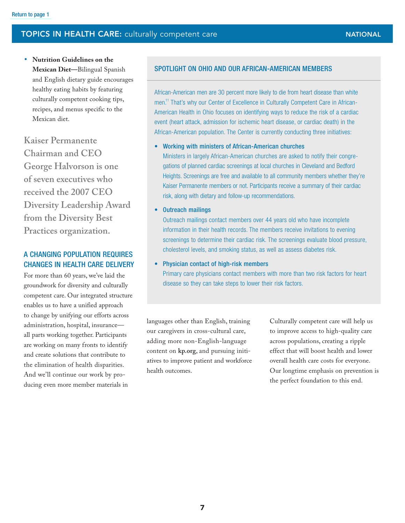<span id="page-6-0"></span>**• Nutrition Guidelines on the Mexican Diet—**Bilingual Spanish and English dietary guide encourages healthy eating habits by featuring culturally competent cooking tips, recipes, and menus specific to the Mexican diet.

**Kaiser Permanente Chairman and CEO George Halvorson is one of seven executives who received the 2007 CEO Diversity Leadership Award from the Diversity Best Practices organization.**

## A changing population requires changes in health care delivery

For more than 60 years, we've laid the groundwork for diversity and culturally competent care. Our integrated structure enables us to have a unified approach to change by unifying our efforts across administration, hospital, insurance all parts working together. Participants are working on many fronts to identify and create solutions that contribute to the elimination of health disparities. And we'll continue our work by producing even more member materials in

### Spotlight on Ohio and our African-American members

African-American men are 30 percent more likely to die from heart disease than white men.<sup>11</sup> That's why our Center of Excellence in Culturally Competent Care in African-American Health in Ohio focuses on identifying ways to reduce the risk of a cardiac event (heart attack, admission for ischemic heart disease, or cardiac death) in the African-American population. The Center is currently conducting three initiatives:

• Working with ministers of African-American churches

Ministers in largely African-American churches are asked to notify their congregations of planned cardiac screenings at local churches in Cleveland and Bedford Heights. Screenings are free and available to all community members whether they're Kaiser Permanente members or not. Participants receive a summary of their cardiac risk, along with dietary and follow-up recommendations.

#### • Outreach mailings

Outreach mailings contact members over 44 years old who have incomplete information in their health records. The members receive invitations to evening screenings to determine their cardiac risk. The screenings evaluate blood pressure, cholesterol levels, and smoking status, as well as assess diabetes risk.

#### • Physician contact of high-risk members

Primary care physicians contact members with more than two risk factors for heart disease so they can take steps to lower their risk factors.

languages other than English, training our caregivers in cross-cultural care, adding more non-English-language content on **kp.org**, and pursuing initiatives to improve patient and workforce health outcomes.

Culturally competent care will help us to improve access to high-quality care across populations, creating a ripple effect that will boost health and lower overall health care costs for everyone. Our longtime emphasis on prevention is the perfect foundation to this end.